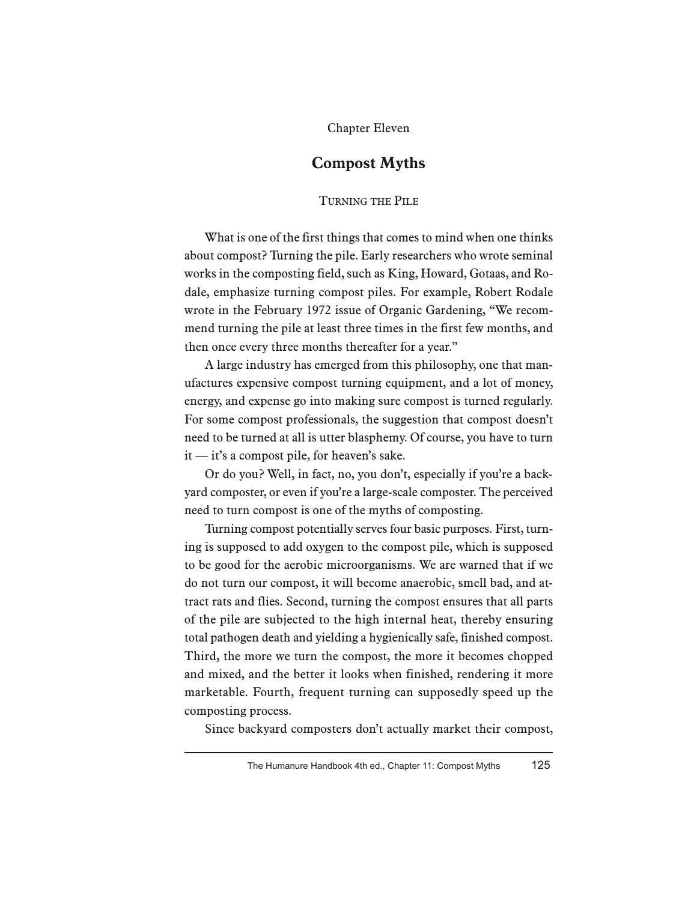#### Chapter Eleven

# **Compost Myths**

### TURNING THE PILE

What is one of the first things that comes to mind when one thinks about compost? Turning the pile. Early researchers who wrote seminal works in the composting field, such as King, Howard, Gotaas, and Rodale, emphasize turning compost piles. For example, Robert Rodale wrote in the February 1972 issue of Organic Gardening, "We recommend turning the pile at least three times in the first few months, and then once every three months thereafter for a year."

A large industry has emerged from this philosophy, one that manufactures expensive compost turning equipment, and a lot of money, energy, and expense go into making sure compost is turned regularly. For some compost professionals, the suggestion that compost doesn't need to be turned at all is utter blasphemy. Of course, you have to turn it — it's a compost pile, for heaven's sake.

Or do you? Well, in fact, no, you don't, especially if you're a backyard composter, or even if you're a large-scale composter. The perceived need to turn compost is one of the myths of composting.

Turning compost potentially serves four basic purposes. First, turning is supposed to add oxygen to the compost pile, which is supposed to be good for the aerobic microorganisms. We are warned that if we do not turn our compost, it will become anaerobic, smell bad, and attract rats and flies. Second, turning the compost ensures that all parts of the pile are subjected to the high internal heat, thereby ensuring total pathogen death and yielding a hygienically safe, finished compost. Third, the more we turn the compost, the more it becomes chopped and mixed, and the better it looks when finished, rendering it more marketable. Fourth, frequent turning can supposedly speed up the composting process.

Since backyard composters don't actually market their compost,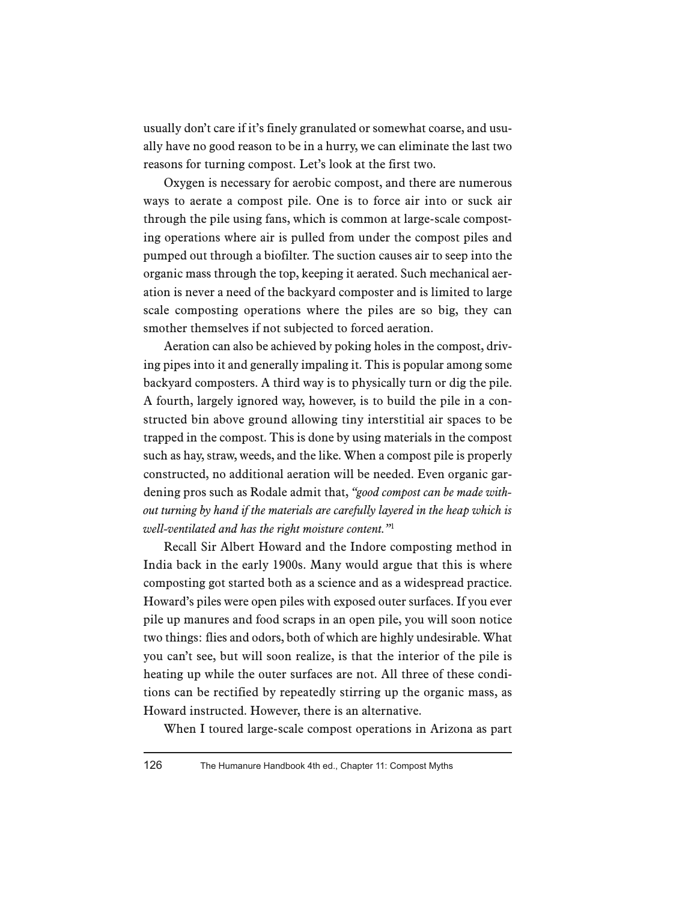usually don't care if it's finely granulated or somewhat coarse, and usually have no good reason to be in a hurry, we can eliminate the last two reasons for turning compost. Let's look at the first two.

Oxygen is necessary for aerobic compost, and there are numerous ways to aerate a compost pile. One is to force air into or suck air through the pile using fans, which is common at large-scale composting operations where air is pulled from under the compost piles and pumped out through a biofilter. The suction causes air to seep into the organic mass through the top, keeping it aerated. Such mechanical aeration is never a need of the backyard composter and is limited to large scale composting operations where the piles are so big, they can smother themselves if not subjected to forced aeration.

Aeration can also be achieved by poking holes in the compost, driving pipes into it and generally impaling it. This is popular among some backyard composters. A third way is to physically turn or dig the pile. A fourth, largely ignored way, however, is to build the pile in a constructed bin above ground allowing tiny interstitial air spaces to be trapped in the compost. This is done by using materials in the compost such as hay, straw, weeds, and the like. When a compost pile is properly constructed, no additional aeration will be needed. Even organic gardening pros such as Rodale admit that, *"good compost can be made without turning by hand if the materials are carefully layered in the heap which is well-ventilated and has the right moisture content."*<sup>1</sup>

Recall Sir Albert Howard and the Indore composting method in India back in the early 1900s. Many would argue that this is where composting got started both as a science and as a widespread practice. Howard's piles were open piles with exposed outer surfaces. If you ever pile up manures and food scraps in an open pile, you will soon notice two things: flies and odors, both of which are highly undesirable. What you can't see, but will soon realize, is that the interior of the pile is heating up while the outer surfaces are not. All three of these conditions can be rectified by repeatedly stirring up the organic mass, as Howard instructed. However, there is an alternative.

When I toured large-scale compost operations in Arizona as part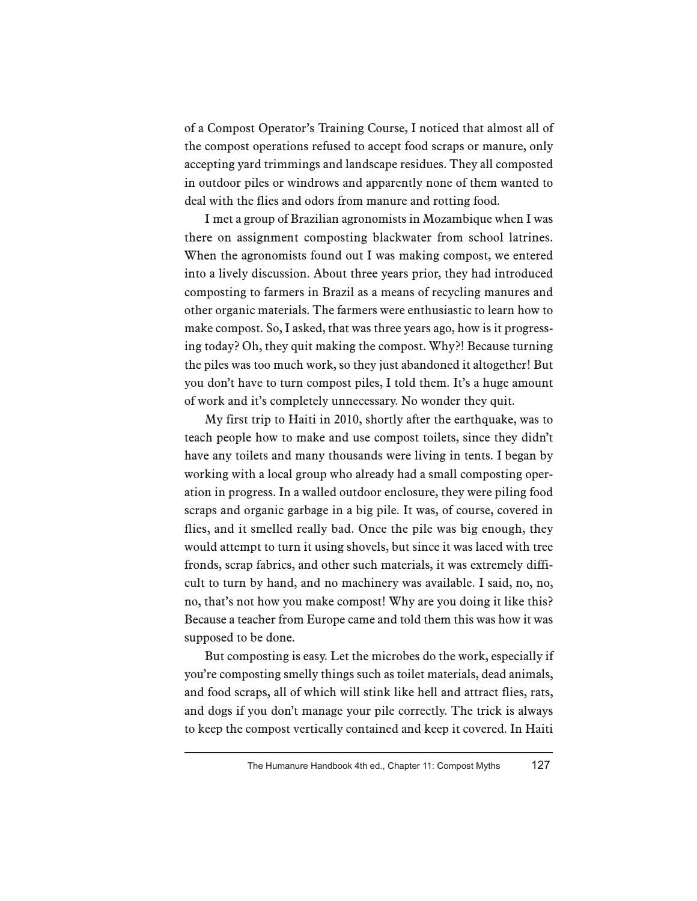of a Compost Operator's Training Course, I noticed that almost all of the compost operations refused to accept food scraps or manure, only accepting yard trimmings and landscape residues. They all composted in outdoor piles or windrows and apparently none of them wanted to deal with the flies and odors from manure and rotting food.

I met a group of Brazilian agronomists in Mozambique when I was there on assignment composting blackwater from school latrines. When the agronomists found out I was making compost, we entered into a lively discussion. About three years prior, they had introduced composting to farmers in Brazil as a means of recycling manures and other organic materials. The farmers were enthusiastic to learn how to make compost. So, I asked, that was three years ago, how is it progressing today? Oh, they quit making the compost. Why?! Because turning the piles was too much work, so they just abandoned it altogether! But you don't have to turn compost piles, I told them. It's a huge amount of work and it's completely unnecessary. No wonder they quit.

My first trip to Haiti in 2010, shortly after the earthquake, was to teach people how to make and use compost toilets, since they didn't have any toilets and many thousands were living in tents. I began by working with a local group who already had a small composting operation in progress. In a walled outdoor enclosure, they were piling food scraps and organic garbage in a big pile. It was, of course, covered in flies, and it smelled really bad. Once the pile was big enough, they would attempt to turn it using shovels, but since it was laced with tree fronds, scrap fabrics, and other such materials, it was extremely difficult to turn by hand, and no machinery was available. I said, no, no, no, that's not how you make compost! Why are you doing it like this? Because a teacher from Europe came and told them this was how it was supposed to be done.

But composting is easy. Let the microbes do the work, especially if you're composting smelly things such as toilet materials, dead animals, and food scraps, all of which will stink like hell and attract flies, rats, and dogs if you don't manage your pile correctly. The trick is always to keep the compost vertically contained and keep it covered. In Haiti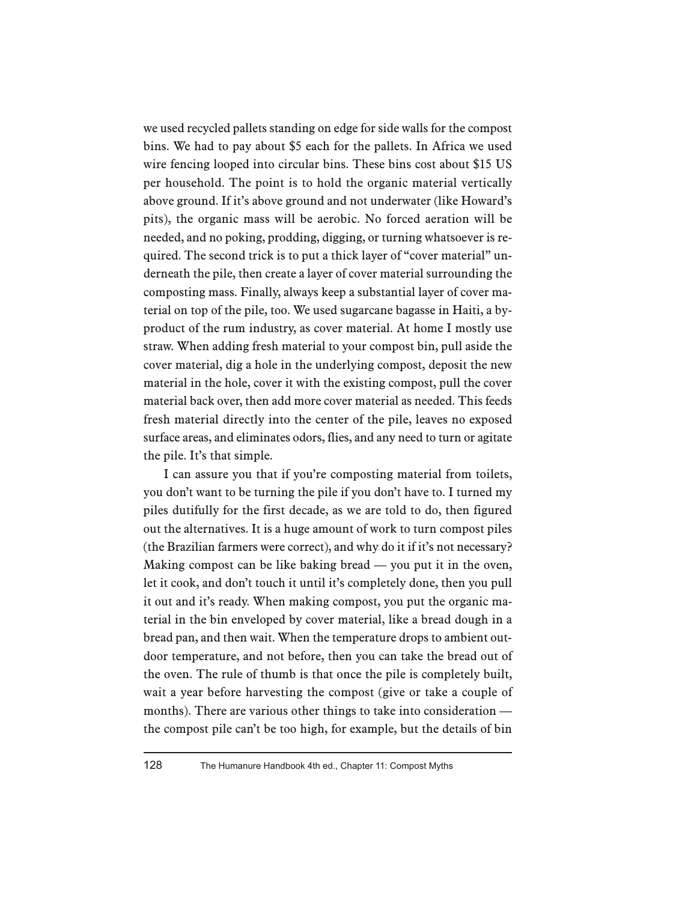we used recycled pallets standing on edge for side walls for the compost bins. We had to pay about \$5 each for the pallets. In Africa we used wire fencing looped into circular bins. These bins cost about \$15 US per household. The point is to hold the organic material vertically above ground. If it's above ground and not underwater (like Howard's pits), the organic mass will be aerobic. No forced aeration will be needed, and no poking, prodding, digging, or turning whatsoever is required. The second trick is to put a thick layer of "cover material" underneath the pile, then create a layer of cover material surrounding the composting mass. Finally, always keep a substantial layer of cover material on top of the pile, too. We used sugarcane bagasse in Haiti, a byproduct of the rum industry, as cover material. At home I mostly use straw. When adding fresh material to your compost bin, pull aside the cover material, dig a hole in the underlying compost, deposit the new material in the hole, cover it with the existing compost, pull the cover material back over, then add more cover material as needed. This feeds fresh material directly into the center of the pile, leaves no exposed surface areas, and eliminates odors, flies, and any need to turn or agitate the pile. It's that simple.

I can assure you that if you're composting material from toilets, you don't want to be turning the pile if you don't have to. I turned my piles dutifully for the first decade, as we are told to do, then figured out the alternatives. It is a huge amount of work to turn compost piles (the Brazilian farmers were correct), and why do it if it's not necessary? Making compost can be like baking bread — you put it in the oven, let it cook, and don't touch it until it's completely done, then you pull it out and it's ready. When making compost, you put the organic material in the bin enveloped by cover material, like a bread dough in a bread pan, and then wait. When the temperature drops to ambient outdoor temperature, and not before, then you can take the bread out of the oven. The rule of thumb is that once the pile is completely built, wait a year before harvesting the compost (give or take a couple of months). There are various other things to take into consideration the compost pile can't be too high, for example, but the details of bin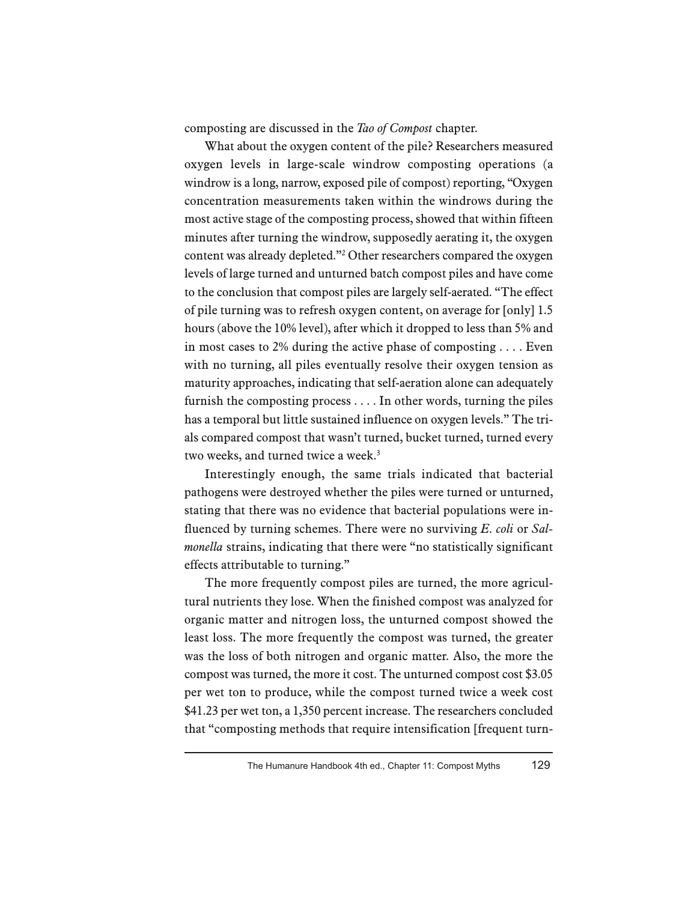composting are discussed in the *Tao of Compost* chapter.

What about the oxygen content of the pile? Researchers measured oxygen levels in large-scale windrow composting operations (a windrow is a long, narrow, exposed pile of compost) reporting, "Oxygen concentration measurements taken within the windrows during the most active stage of the composting process, showed that within fifteen minutes after turning the windrow, supposedly aerating it, the oxygen content was already depleted."2 Other researchers compared the oxygen levels of large turned and unturned batch compost piles and have come to the conclusion that compost piles are largely self-aerated. "The effect of pile turning was to refresh oxygen content, on average for [only] 1.5 hours (above the 10% level), after which it dropped to less than 5% and in most cases to 2% during the active phase of composting . . . . Even with no turning, all piles eventually resolve their oxygen tension as maturity approaches, indicating that self-aeration alone can adequately furnish the composting process  $\dots$ . In other words, turning the piles has a temporal but little sustained influence on oxygen levels." The trials compared compost that wasn't turned, bucket turned, turned every two weeks, and turned twice a week.<sup>3</sup>

Interestingly enough, the same trials indicated that bacterial pathogens were destroyed whether the piles were turned or unturned, stating that there was no evidence that bacterial populations were influenced by turning schemes. There were no surviving *E. coli* or *Salmonella* strains, indicating that there were "no statistically significant effects attributable to turning."

The more frequently compost piles are turned, the more agricultural nutrients they lose. When the finished compost was analyzed for organic matter and nitrogen loss, the unturned compost showed the least loss. The more frequently the compost was turned, the greater was the loss of both nitrogen and organic matter. Also, the more the compost was turned, the more it cost. The unturned compost cost \$3.05 per wet ton to produce, while the compost turned twice a week cost \$41.23 per wet ton, a 1,350 percent increase. The researchers concluded that "composting methods that require intensification [frequent turn-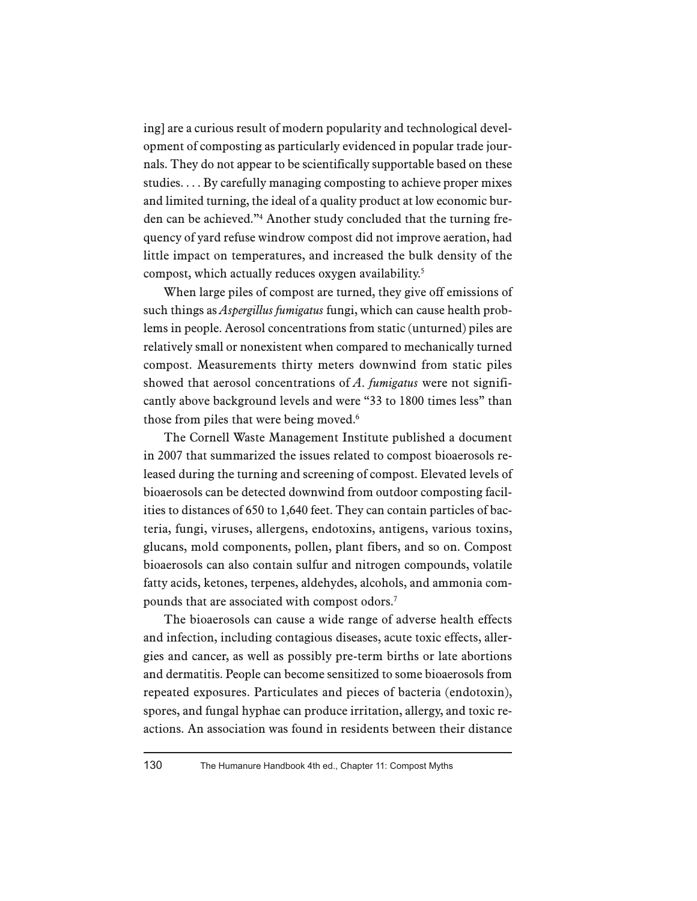ing] are a curious result of modern popularity and technological development of composting as particularly evidenced in popular trade journals. They do not appear to be scientifically supportable based on these studies. . . . By carefully managing composting to achieve proper mixes and limited turning, the ideal of a quality product at low economic burden can be achieved."4 Another study concluded that the turning frequency of yard refuse windrow compost did not improve aeration, had little impact on temperatures, and increased the bulk density of the compost, which actually reduces oxygen availability.<sup>5</sup>

When large piles of compost are turned, they give off emissions of such things as *Aspergillus fumigatus* fungi, which can cause health problems in people. Aerosol concentrations from static (unturned) piles are relatively small or nonexistent when compared to mechanically turned compost. Measurements thirty meters downwind from static piles showed that aerosol concentrations of *A. fumigatus* were not significantly above background levels and were "33 to 1800 times less" than those from piles that were being moved.<sup>6</sup>

The Cornell Waste Management Institute published a document in 2007 that summarized the issues related to compost bioaerosols released during the turning and screening of compost. Elevated levels of bioaerosols can be detected downwind from outdoor composting facilities to distances of 650 to 1,640 feet. They can contain particles of bacteria, fungi, viruses, allergens, endotoxins, antigens, various toxins, glucans, mold components, pollen, plant fibers, and so on. Compost bioaerosols can also contain sulfur and nitrogen compounds, volatile fatty acids, ketones, terpenes, aldehydes, alcohols, and ammonia compounds that are associated with compost odors.<sup>7</sup>

The bioaerosols can cause a wide range of adverse health effects and infection, including contagious diseases, acute toxic effects, allergies and cancer, as well as possibly pre-term births or late abortions and dermatitis. People can become sensitized to some bioaerosols from repeated exposures. Particulates and pieces of bacteria (endotoxin), spores, and fungal hyphae can produce irritation, allergy, and toxic reactions. An association was found in residents between their distance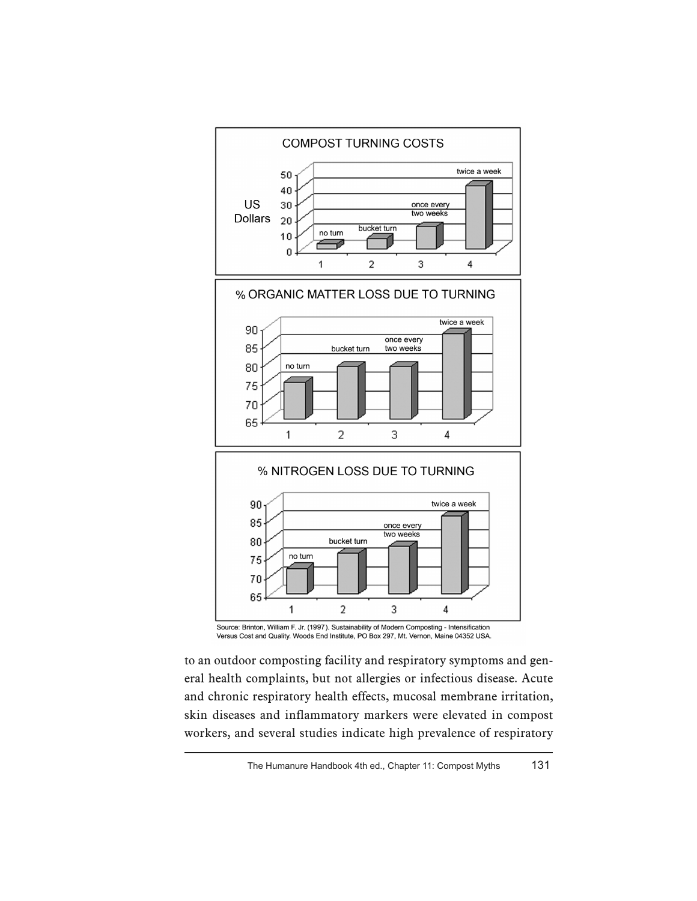

Versus Cost and Quality. Woods End Institute, PO Box 297, Mt. Vernon, Maine 04352 USA.

to an outdoor composting facility and respiratory symptoms and general health complaints, but not allergies or infectious disease. Acute and chronic respiratory health effects, mucosal membrane irritation, skin diseases and inflammatory markers were elevated in compost workers, and several studies indicate high prevalence of respiratory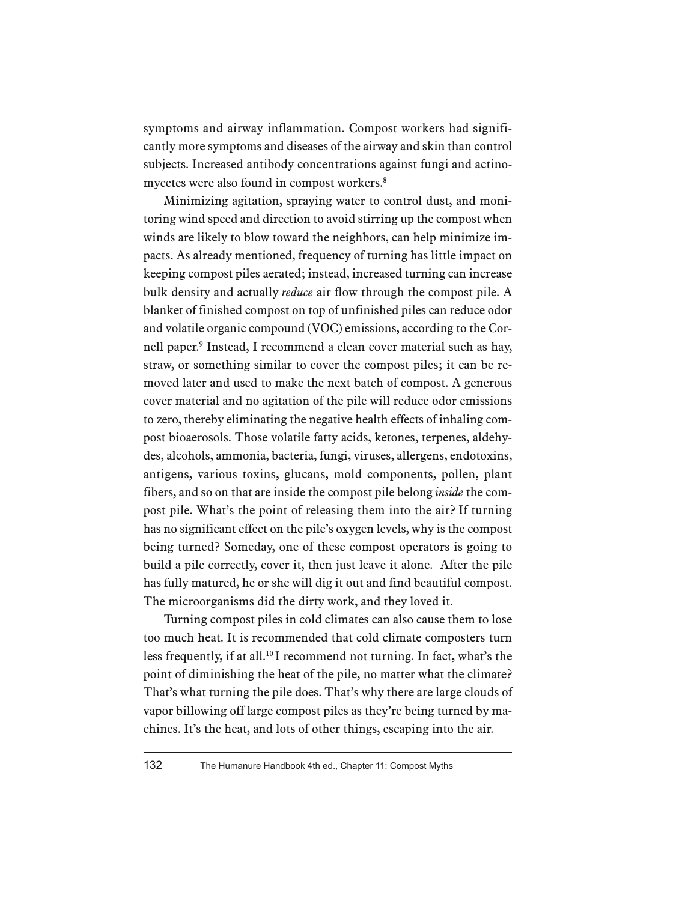symptoms and airway inflammation. Compost workers had significantly more symptoms and diseases of the airway and skin than control subjects. Increased antibody concentrations against fungi and actinomycetes were also found in compost workers.8

Minimizing agitation, spraying water to control dust, and monitoring wind speed and direction to avoid stirring up the compost when winds are likely to blow toward the neighbors, can help minimize impacts. As already mentioned, frequency of turning has little impact on keeping compost piles aerated; instead, increased turning can increase bulk density and actually *reduce* air flow through the compost pile. A blanket of finished compost on top of unfinished piles can reduce odor and volatile organic compound (VOC) emissions, according to the Cornell paper.<sup>9</sup> Instead, I recommend a clean cover material such as hay, straw, or something similar to cover the compost piles; it can be removed later and used to make the next batch of compost. A generous cover material and no agitation of the pile will reduce odor emissions to zero, thereby eliminating the negative health effects of inhaling compost bioaerosols. Those volatile fatty acids, ketones, terpenes, aldehydes, alcohols, ammonia, bacteria, fungi, viruses, allergens, endotoxins, antigens, various toxins, glucans, mold components, pollen, plant fibers, and so on that are inside the compost pile belong *inside* the compost pile. What's the point of releasing them into the air? If turning has no significant effect on the pile's oxygen levels, why is the compost being turned? Someday, one of these compost operators is going to build a pile correctly, cover it, then just leave it alone. After the pile has fully matured, he or she will dig it out and find beautiful compost. The microorganisms did the dirty work, and they loved it.

Turning compost piles in cold climates can also cause them to lose too much heat. It is recommended that cold climate composters turn less frequently, if at all.10 I recommend not turning. In fact, what's the point of diminishing the heat of the pile, no matter what the climate? That's what turning the pile does. That's why there are large clouds of vapor billowing off large compost piles as they're being turned by machines. It's the heat, and lots of other things, escaping into the air.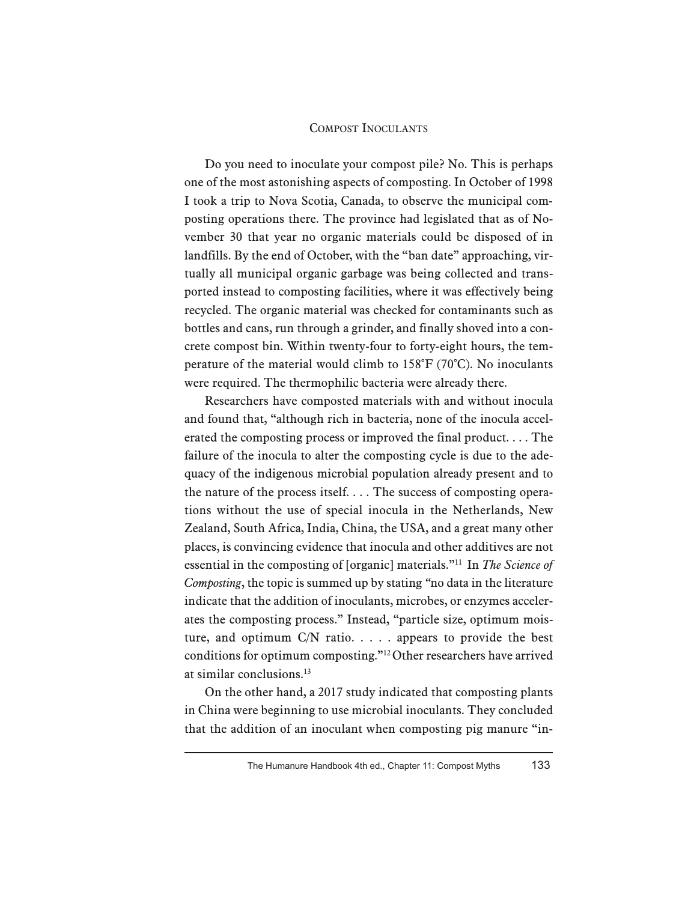#### COMPOST INOCULANTS

Do you need to inoculate your compost pile? No. This is perhaps one of the most astonishing aspects of composting. In October of 1998 I took a trip to Nova Scotia, Canada, to observe the municipal composting operations there. The province had legislated that as of November 30 that year no organic materials could be disposed of in landfills. By the end of October, with the "ban date" approaching, virtually all municipal organic garbage was being collected and transported instead to composting facilities, where it was effectively being recycled. The organic material was checked for contaminants such as bottles and cans, run through a grinder, and finally shoved into a concrete compost bin. Within twenty-four to forty-eight hours, the temperature of the material would climb to 158° F (70° C). No inoculants were required. The thermophilic bacteria were already there.

Researchers have composted materials with and without inocula and found that, "although rich in bacteria, none of the inocula accelerated the composting process or improved the final product. . . . The failure of the inocula to alter the composting cycle is due to the adequacy of the indigenous microbial population already present and to the nature of the process itself. . . . The success of composting operations without the use of special inocula in the Netherlands, New Zealand, South Africa, India, China, the USA, and a great many other places, is convincing evidence that inocula and other additives are not essential in the composting of [organic] materials."11 In *The Science of Composting*, the topic is summed up by stating *"*no data in the literature indicate that the addition of inoculants, microbes, or enzymes accelerates the composting process." Instead, "particle size, optimum moisture, and optimum C/N ratio. . . . . appears to provide the best conditions for optimum composting."12 Other researchers have arrived at similar conclusions.13

On the other hand, a 2017 study indicated that composting plants in China were beginning to use microbial inoculants. They concluded that the addition of an inoculant when composting pig manure "in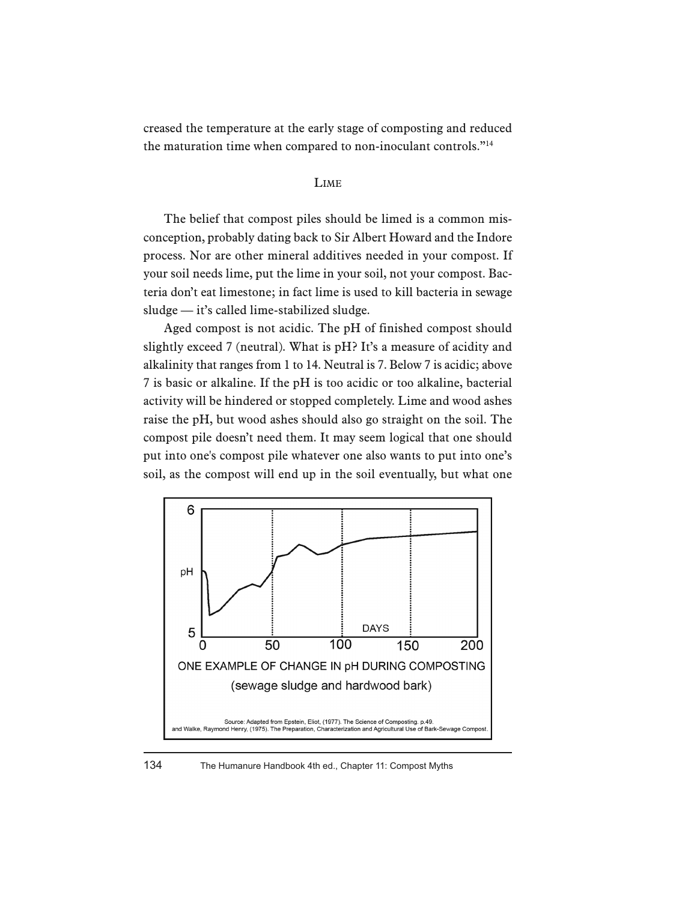creased the temperature at the early stage of composting and reduced the maturation time when compared to non-inoculant controls."14

#### LIME

The belief that compost piles should be limed is a common misconception, probably dating back to Sir Albert Howard and the Indore process. Nor are other mineral additives needed in your compost. If your soil needs lime, put the lime in your soil, not your compost. Bacteria don't eat limestone; in fact lime is used to kill bacteria in sewage sludge — it's called lime-stabilized sludge.

Aged compost is not acidic. The pH of finished compost should slightly exceed 7 (neutral). What is pH? It's a measure of acidity and alkalinity that ranges from 1 to 14. Neutral is 7. Below 7 is acidic; above 7 is basic or alkaline. If the pH is too acidic or too alkaline, bacterial activity will be hindered or stopped completely. Lime and wood ashes raise the pH, but wood ashes should also go straight on the soil. The compost pile doesn't need them. It may seem logical that one should put into one's compost pile whatever one also wants to put into one's soil, as the compost will end up in the soil eventually, but what one

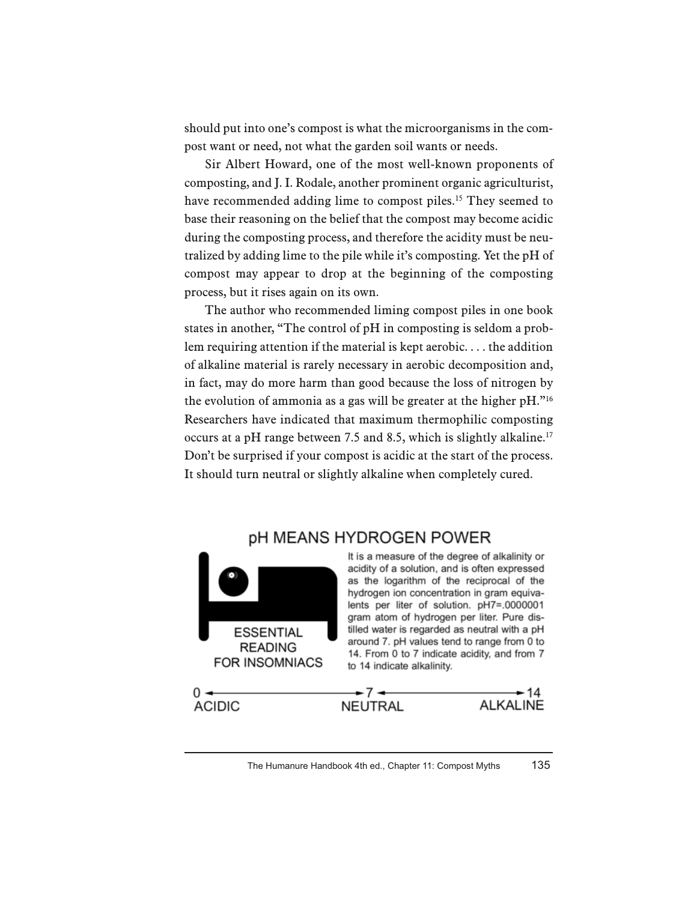should put into one's compost is what the microorganisms in the compost want or need, not what the garden soil wants or needs.

Sir Albert Howard, one of the most well-known proponents of composting, and J. I. Rodale, another prominent organic agriculturist, have recommended adding lime to compost piles.<sup>15</sup> They seemed to base their reasoning on the belief that the compost may become acidic during the composting process, and therefore the acidity must be neutralized by adding lime to the pile while it's composting. Yet the pH of compost may appear to drop at the beginning of the composting process, but it rises again on its own.

The author who recommended liming compost piles in one book states in another, "The control of pH in composting is seldom a problem requiring attention if the material is kept aerobic. . . . the addition of alkaline material is rarely necessary in aerobic decomposition and, in fact, may do more harm than good because the loss of nitrogen by the evolution of ammonia as a gas will be greater at the higher pH."16 Researchers have indicated that maximum thermophilic composting occurs at a pH range between 7.5 and 8.5, which is slightly alkaline.17 Don't be surprised if your compost is acidic at the start of the process. It should turn neutral or slightly alkaline when completely cured.





It is a measure of the degree of alkalinity or acidity of a solution, and is often expressed as the logarithm of the reciprocal of the hydrogen ion concentration in gram equivalents per liter of solution. pH7=.0000001 gram atom of hydrogen per liter. Pure distilled water is regarded as neutral with a pH around 7. pH values tend to range from 0 to 14. From 0 to 7 indicate acidity, and from 7 to 14 indicate alkalinity.

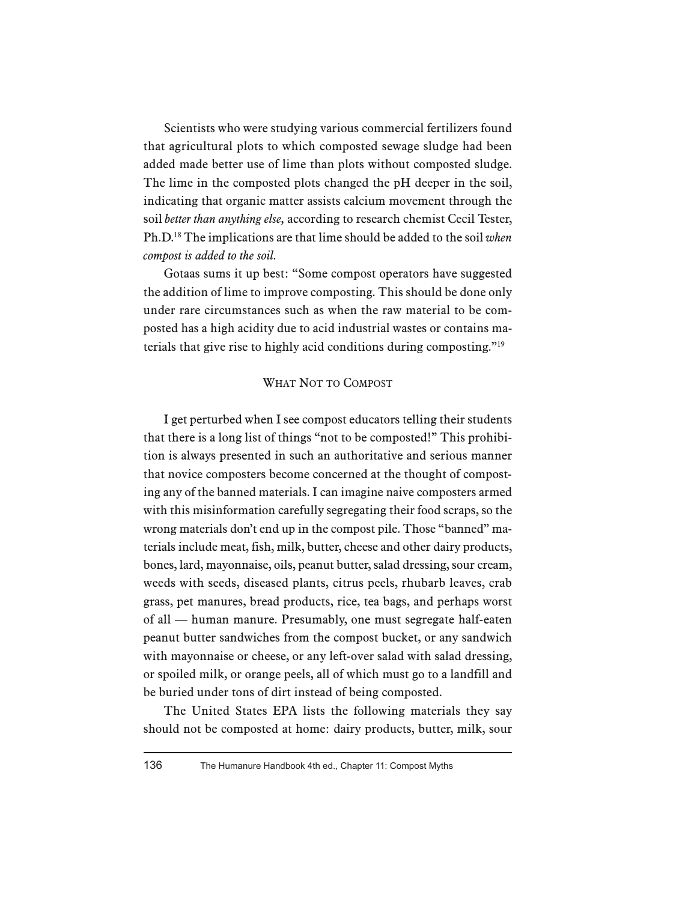Scientists who were studying various commercial fertilizers found that agricultural plots to which composted sewage sludge had been added made better use of lime than plots without composted sludge. The lime in the composted plots changed the pH deeper in the soil, indicating that organic matter assists calcium movement through the soil *better than anything else,* according to research chemist Cecil Tester, Ph.D.18 The implications are that lime should be added to the soil *when compost is added to the soil.*

Gotaas sums it up best: "Some compost operators have suggested the addition of lime to improve composting. This should be done only under rare circumstances such as when the raw material to be composted has a high acidity due to acid industrial wastes or contains materials that give rise to highly acid conditions during composting."19

## WHAT NOT TO COMPOST

I get perturbed when I see compost educators telling their students that there is a long list of things "not to be composted!" This prohibition is always presented in such an authoritative and serious manner that novice composters become concerned at the thought of composting any of the banned materials. I can imagine naive composters armed with this misinformation carefully segregating their food scraps, so the wrong materials don't end up in the compost pile. Those "banned" materials include meat, fish, milk, butter, cheese and other dairy products, bones, lard, mayonnaise, oils, peanut butter, salad dressing, sour cream, weeds with seeds, diseased plants, citrus peels, rhubarb leaves, crab grass, pet manures, bread products, rice, tea bags, and perhaps worst of all — human manure. Presumably, one must segregate half-eaten peanut butter sandwiches from the compost bucket, or any sandwich with mayonnaise or cheese, or any left-over salad with salad dressing, or spoiled milk, or orange peels, all of which must go to a landfill and be buried under tons of dirt instead of being composted.

The United States EPA lists the following materials they say should not be composted at home: dairy products, butter, milk, sour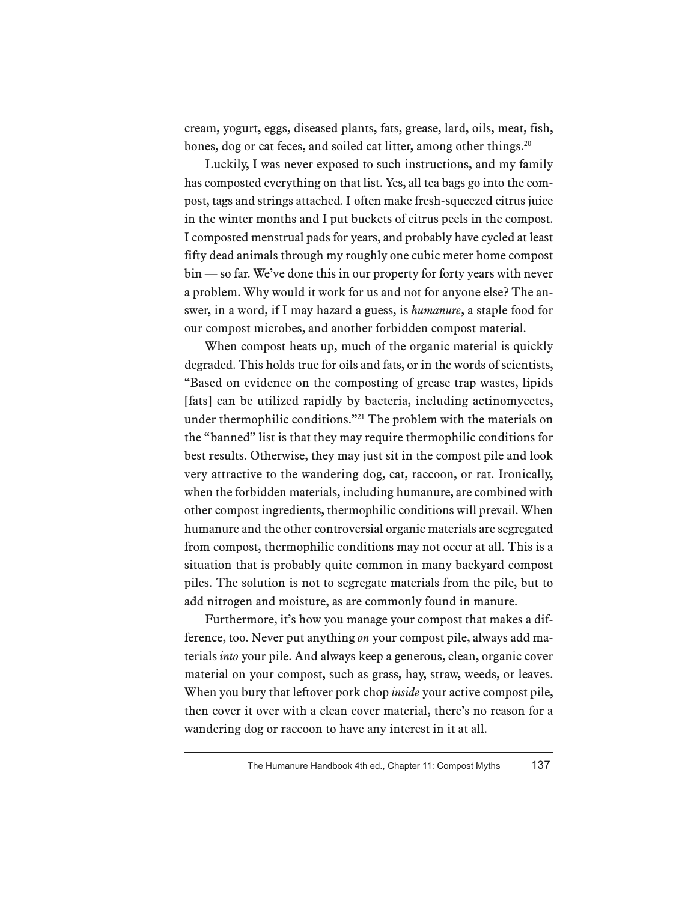cream, yogurt, eggs, diseased plants, fats, grease, lard, oils, meat, fish, bones, dog or cat feces, and soiled cat litter, among other things.<sup>20</sup>

Luckily, I was never exposed to such instructions, and my family has composted everything on that list. Yes, all tea bags go into the compost, tags and strings attached. I often make fresh-squeezed citrus juice in the winter months and I put buckets of citrus peels in the compost. I composted menstrual pads for years, and probably have cycled at least fifty dead animals through my roughly one cubic meter home compost bin — so far. We've done this in our property for forty years with never a problem. Why would it work for us and not for anyone else? The answer, in a word, if I may hazard a guess, is *humanure*, a staple food for our compost microbes, and another forbidden compost material.

When compost heats up, much of the organic material is quickly degraded. This holds true for oils and fats, or in the words of scientists, "Based on evidence on the composting of grease trap wastes, lipids [fats] can be utilized rapidly by bacteria, including actinomycetes, under thermophilic conditions."<sup>21</sup> The problem with the materials on the "banned" list is that they may require thermophilic conditions for best results. Otherwise, they may just sit in the compost pile and look very attractive to the wandering dog, cat, raccoon, or rat. Ironically, when the forbidden materials, including humanure, are combined with other compost ingredients, thermophilic conditions will prevail. When humanure and the other controversial organic materials are segregated from compost, thermophilic conditions may not occur at all. This is a situation that is probably quite common in many backyard compost piles. The solution is not to segregate materials from the pile, but to add nitrogen and moisture, as are commonly found in manure.

Furthermore, it's how you manage your compost that makes a difference, too. Never put anything *on* your compost pile, always add materials *into* your pile. And always keep a generous, clean, organic cover material on your compost, such as grass, hay, straw, weeds, or leaves. When you bury that leftover pork chop *inside* your active compost pile, then cover it over with a clean cover material, there's no reason for a wandering dog or raccoon to have any interest in it at all.